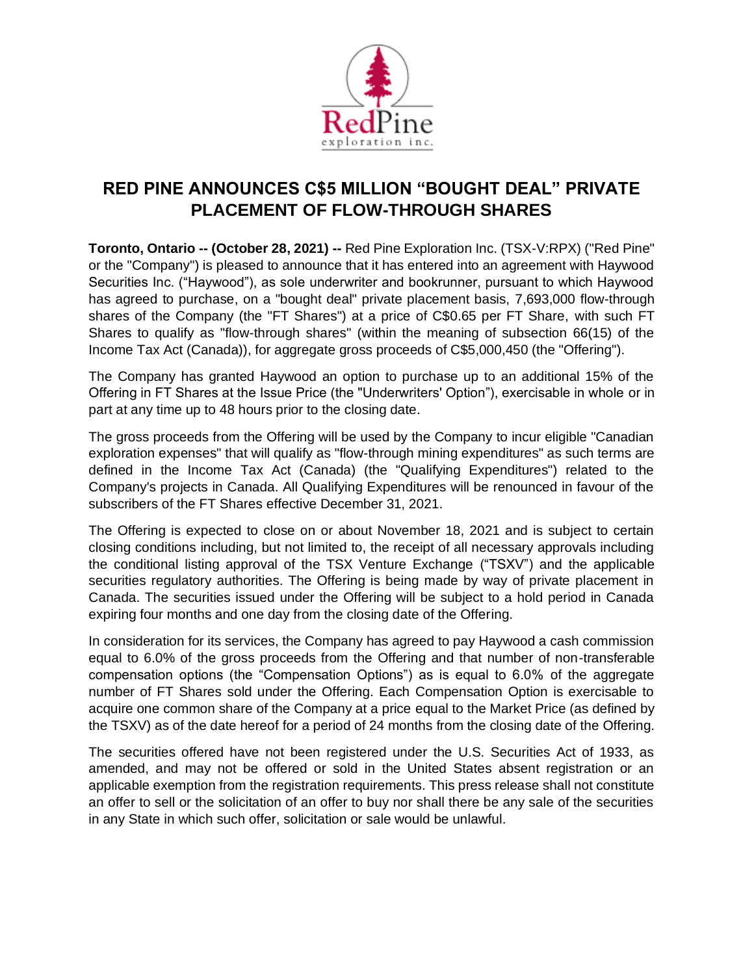

## **RED PINE ANNOUNCES C\$5 MILLION "BOUGHT DEAL" PRIVATE PLACEMENT OF FLOW-THROUGH SHARES**

**Toronto, Ontario -- (October 28, 2021) --** Red Pine Exploration Inc. (TSX-V:RPX) ("Red Pine" or the "Company") is pleased to announce that it has entered into an agreement with Haywood Securities Inc. ("Haywood"), as sole underwriter and bookrunner, pursuant to which Haywood has agreed to purchase, on a "bought deal" private placement basis, 7,693,000 flow-through shares of the Company (the "FT Shares") at a price of C\$0.65 per FT Share, with such FT Shares to qualify as "flow-through shares" (within the meaning of subsection 66(15) of the Income Tax Act (Canada)), for aggregate gross proceeds of C\$5,000,450 (the "Offering").

The Company has granted Haywood an option to purchase up to an additional 15% of the Offering in FT Shares at the Issue Price (the "Underwriters' Option"), exercisable in whole or in part at any time up to 48 hours prior to the closing date.

The gross proceeds from the Offering will be used by the Company to incur eligible "Canadian exploration expenses" that will qualify as "flow-through mining expenditures" as such terms are defined in the Income Tax Act (Canada) (the "Qualifying Expenditures") related to the Company's projects in Canada. All Qualifying Expenditures will be renounced in favour of the subscribers of the FT Shares effective December 31, 2021.

The Offering is expected to close on or about November 18, 2021 and is subject to certain closing conditions including, but not limited to, the receipt of all necessary approvals including the conditional listing approval of the TSX Venture Exchange ("TSXV") and the applicable securities regulatory authorities. The Offering is being made by way of private placement in Canada. The securities issued under the Offering will be subject to a hold period in Canada expiring four months and one day from the closing date of the Offering.

In consideration for its services, the Company has agreed to pay Haywood a cash commission equal to 6.0% of the gross proceeds from the Offering and that number of non-transferable compensation options (the "Compensation Options") as is equal to 6.0% of the aggregate number of FT Shares sold under the Offering. Each Compensation Option is exercisable to acquire one common share of the Company at a price equal to the Market Price (as defined by the TSXV) as of the date hereof for a period of 24 months from the closing date of the Offering.

The securities offered have not been registered under the U.S. Securities Act of 1933, as amended, and may not be offered or sold in the United States absent registration or an applicable exemption from the registration requirements. This press release shall not constitute an offer to sell or the solicitation of an offer to buy nor shall there be any sale of the securities in any State in which such offer, solicitation or sale would be unlawful.